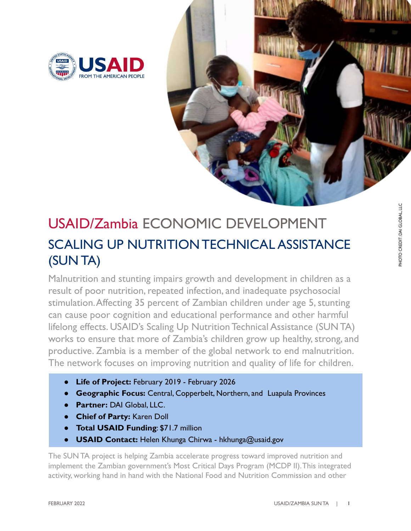



## USAID/Zambia ECONOMIC DEVELOPMENT SCALING UP NUTRITIONTECHNICAL ASSISTANCE (SUNTA)

Malnutrition and stunting impairs growth and development in children as a result of poor nutrition, repeated infection, and inadequate psychosocial stimulation.Affecting 35 percent of Zambian children under age 5, stunting can cause poor cognition and educational performance and other harmful lifelong effects. USAID's Scaling Up Nutrition Technical Assistance (SUN TA) works to ensure that more of Zambia's children grow up healthy, strong, and productive. Zambia is a member of the global network to end malnutrition. The network focuses on improving nutrition and quality of life for children.

- Life of Project: February 2019 February 2026
- **Geographic Focus:** Central, Copperbelt, Northern, and Luapula Provinces
- Partner: DAI Global, LLC.
- **Chief of Party:** Karen Doll
- **Total USAID Funding: \$71.7 million**
- **● USAID Contact:** Helen Khunga Chirwa hkhunga@usaid.gov

The SUN TA project is helping Zambia accelerate progress toward improved nutrition and implement the Zambian government's Most Critical Days Program (MCDP II).This integrated activity, working hand in hand with the National Food and Nutrition Commission and other